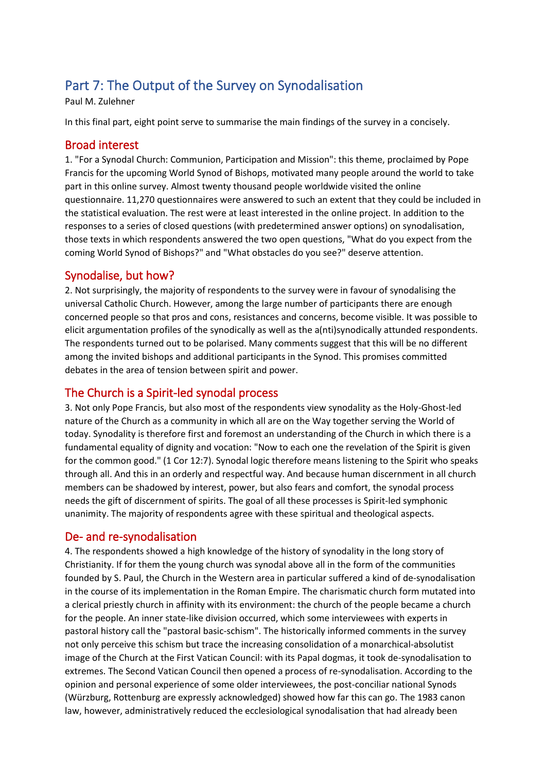# Part 7: The Output of the Survey on Synodalisation

Paul M. Zulehner

In this final part, eight point serve to summarise the main findings of the survey in a concisely.

#### Broad interest

1. "For a Synodal Church: Communion, Participation and Mission": this theme, proclaimed by Pope Francis for the upcoming World Synod of Bishops, motivated many people around the world to take part in this online survey. Almost twenty thousand people worldwide visited the online questionnaire. 11,270 questionnaires were answered to such an extent that they could be included in the statistical evaluation. The rest were at least interested in the online project. In addition to the responses to a series of closed questions (with predetermined answer options) on synodalisation, those texts in which respondents answered the two open questions, "What do you expect from the coming World Synod of Bishops?" and "What obstacles do you see?" deserve attention.

## Synodalise, but how?

2. Not surprisingly, the majority of respondents to the survey were in favour of synodalising the universal Catholic Church. However, among the large number of participants there are enough concerned people so that pros and cons, resistances and concerns, become visible. It was possible to elicit argumentation profiles of the synodically as well as the a(nti)synodically attunded respondents. The respondents turned out to be polarised. Many comments suggest that this will be no different among the invited bishops and additional participants in the Synod. This promises committed debates in the area of tension between spirit and power.

## The Church is a Spirit-led synodal process

3. Not only Pope Francis, but also most of the respondents view synodality as the Holy-Ghost-led nature of the Church as a community in which all are on the Way together serving the World of today. Synodality is therefore first and foremost an understanding of the Church in which there is a fundamental equality of dignity and vocation: "Now to each one the revelation of the Spirit is given for the common good." (1 Cor 12:7). Synodal logic therefore means listening to the Spirit who speaks through all. And this in an orderly and respectful way. And because human discernment in all church members can be shadowed by interest, power, but also fears and comfort, the synodal process needs the gift of discernment of spirits. The goal of all these processes is Spirit-led symphonic unanimity. The majority of respondents agree with these spiritual and theological aspects.

#### De- and re-synodalisation

4. The respondents showed a high knowledge of the history of synodality in the long story of Christianity. If for them the young church was synodal above all in the form of the communities founded by S. Paul, the Church in the Western area in particular suffered a kind of de-synodalisation in the course of its implementation in the Roman Empire. The charismatic church form mutated into a clerical priestly church in affinity with its environment: the church of the people became a church for the people. An inner state-like division occurred, which some interviewees with experts in pastoral history call the "pastoral basic-schism". The historically informed comments in the survey not only perceive this schism but trace the increasing consolidation of a monarchical-absolutist image of the Church at the First Vatican Council: with its Papal dogmas, it took de-synodalisation to extremes. The Second Vatican Council then opened a process of re-synodalisation. According to the opinion and personal experience of some older interviewees, the post-conciliar national Synods (Würzburg, Rottenburg are expressly acknowledged) showed how far this can go. The 1983 canon law, however, administratively reduced the ecclesiological synodalisation that had already been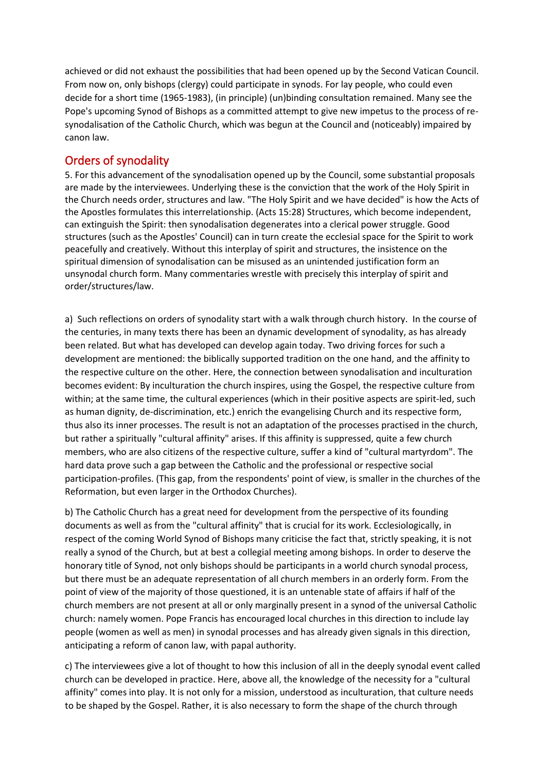achieved or did not exhaust the possibilities that had been opened up by the Second Vatican Council. From now on, only bishops (clergy) could participate in synods. For lay people, who could even decide for a short time (1965-1983), (in principle) (un)binding consultation remained. Many see the Pope's upcoming Synod of Bishops as a committed attempt to give new impetus to the process of resynodalisation of the Catholic Church, which was begun at the Council and (noticeably) impaired by canon law.

# Orders of synodality

5. For this advancement of the synodalisation opened up by the Council, some substantial proposals are made by the interviewees. Underlying these is the conviction that the work of the Holy Spirit in the Church needs order, structures and law. "The Holy Spirit and we have decided" is how the Acts of the Apostles formulates this interrelationship. (Acts 15:28) Structures, which become independent, can extinguish the Spirit: then synodalisation degenerates into a clerical power struggle. Good structures (such as the Apostles' Council) can in turn create the ecclesial space for the Spirit to work peacefully and creatively. Without this interplay of spirit and structures, the insistence on the spiritual dimension of synodalisation can be misused as an unintended justification form an unsynodal church form. Many commentaries wrestle with precisely this interplay of spirit and order/structures/law.

a) Such reflections on orders of synodality start with a walk through church history. In the course of the centuries, in many texts there has been an dynamic development of synodality, as has already been related. But what has developed can develop again today. Two driving forces for such a development are mentioned: the biblically supported tradition on the one hand, and the affinity to the respective culture on the other. Here, the connection between synodalisation and inculturation becomes evident: By inculturation the church inspires, using the Gospel, the respective culture from within; at the same time, the cultural experiences (which in their positive aspects are spirit-led, such as human dignity, de-discrimination, etc.) enrich the evangelising Church and its respective form, thus also its inner processes. The result is not an adaptation of the processes practised in the church, but rather a spiritually "cultural affinity" arises. If this affinity is suppressed, quite a few church members, who are also citizens of the respective culture, suffer a kind of "cultural martyrdom". The hard data prove such a gap between the Catholic and the professional or respective social participation-profiles. (This gap, from the respondents' point of view, is smaller in the churches of the Reformation, but even larger in the Orthodox Churches).

b) The Catholic Church has a great need for development from the perspective of its founding documents as well as from the "cultural affinity" that is crucial for its work. Ecclesiologically, in respect of the coming World Synod of Bishops many criticise the fact that, strictly speaking, it is not really a synod of the Church, but at best a collegial meeting among bishops. In order to deserve the honorary title of Synod, not only bishops should be participants in a world church synodal process, but there must be an adequate representation of all church members in an orderly form. From the point of view of the majority of those questioned, it is an untenable state of affairs if half of the church members are not present at all or only marginally present in a synod of the universal Catholic church: namely women. Pope Francis has encouraged local churches in this direction to include lay people (women as well as men) in synodal processes and has already given signals in this direction, anticipating a reform of canon law, with papal authority.

c) The interviewees give a lot of thought to how this inclusion of all in the deeply synodal event called church can be developed in practice. Here, above all, the knowledge of the necessity for a "cultural affinity" comes into play. It is not only for a mission, understood as inculturation, that culture needs to be shaped by the Gospel. Rather, it is also necessary to form the shape of the church through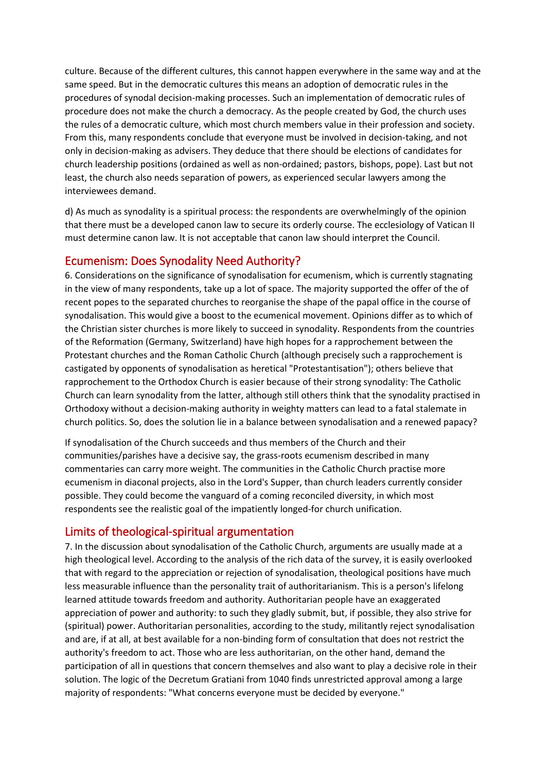culture. Because of the different cultures, this cannot happen everywhere in the same way and at the same speed. But in the democratic cultures this means an adoption of democratic rules in the procedures of synodal decision-making processes. Such an implementation of democratic rules of procedure does not make the church a democracy. As the people created by God, the church uses the rules of a democratic culture, which most church members value in their profession and society. From this, many respondents conclude that everyone must be involved in decision-taking, and not only in decision-making as advisers. They deduce that there should be elections of candidates for church leadership positions (ordained as well as non-ordained; pastors, bishops, pope). Last but not least, the church also needs separation of powers, as experienced secular lawyers among the interviewees demand.

d) As much as synodality is a spiritual process: the respondents are overwhelmingly of the opinion that there must be a developed canon law to secure its orderly course. The ecclesiology of Vatican II must determine canon law. It is not acceptable that canon law should interpret the Council.

# Ecumenism: Does Synodality Need Authority?

6. Considerations on the significance of synodalisation for ecumenism, which is currently stagnating in the view of many respondents, take up a lot of space. The majority supported the offer of the of recent popes to the separated churches to reorganise the shape of the papal office in the course of synodalisation. This would give a boost to the ecumenical movement. Opinions differ as to which of the Christian sister churches is more likely to succeed in synodality. Respondents from the countries of the Reformation (Germany, Switzerland) have high hopes for a rapprochement between the Protestant churches and the Roman Catholic Church (although precisely such a rapprochement is castigated by opponents of synodalisation as heretical "Protestantisation"); others believe that rapprochement to the Orthodox Church is easier because of their strong synodality: The Catholic Church can learn synodality from the latter, although still others think that the synodality practised in Orthodoxy without a decision-making authority in weighty matters can lead to a fatal stalemate in church politics. So, does the solution lie in a balance between synodalisation and a renewed papacy?

If synodalisation of the Church succeeds and thus members of the Church and their communities/parishes have a decisive say, the grass-roots ecumenism described in many commentaries can carry more weight. The communities in the Catholic Church practise more ecumenism in diaconal projects, also in the Lord's Supper, than church leaders currently consider possible. They could become the vanguard of a coming reconciled diversity, in which most respondents see the realistic goal of the impatiently longed-for church unification.

# Limits of theological-spiritual argumentation

7. In the discussion about synodalisation of the Catholic Church, arguments are usually made at a high theological level. According to the analysis of the rich data of the survey, it is easily overlooked that with regard to the appreciation or rejection of synodalisation, theological positions have much less measurable influence than the personality trait of authoritarianism. This is a person's lifelong learned attitude towards freedom and authority. Authoritarian people have an exaggerated appreciation of power and authority: to such they gladly submit, but, if possible, they also strive for (spiritual) power. Authoritarian personalities, according to the study, militantly reject synodalisation and are, if at all, at best available for a non-binding form of consultation that does not restrict the authority's freedom to act. Those who are less authoritarian, on the other hand, demand the participation of all in questions that concern themselves and also want to play a decisive role in their solution. The logic of the Decretum Gratiani from 1040 finds unrestricted approval among a large majority of respondents: "What concerns everyone must be decided by everyone."